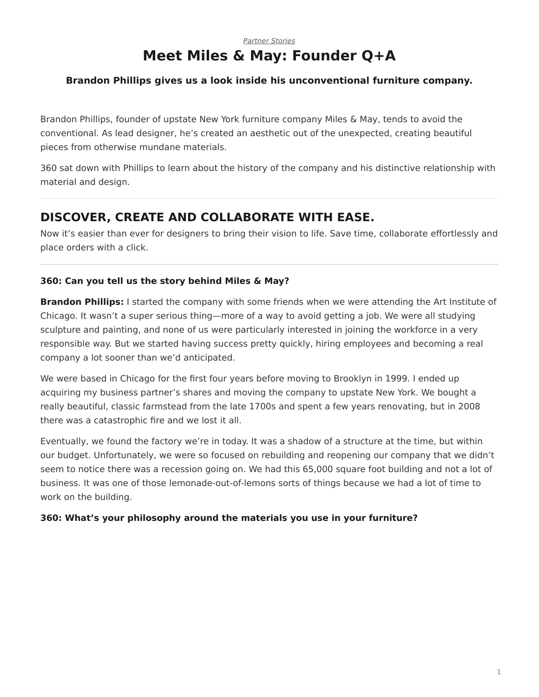# *[Partner Stories](https://www.steelcase.com/research/topics/partner-stories/)* **Meet Miles & May: Founder Q+A**

### <span id="page-0-0"></span>**Brandon Phillips gives us a look inside his unconventional furniture company.**

Brandon Phillips, founder of upstate New York furniture company Miles & May, tends to avoid the conventional. As lead designer, he's created an aesthetic out of the unexpected, creating beautiful pieces from otherwise mundane materials.

360 sat down with Phillips to learn about the history of the company and his distinctive relationship with material and design.

# **DISCOVER, CREATE AND COLLABORATE WITH EASE.**

Now it's easier than ever for designers to bring their vision to life. Save time, collaborate effortlessly and place orders with a click.

### **360: Can you tell us the story behind Miles & May?**

**Brandon Phillips:** I started the company with some friends when we were attending the Art Institute of Chicago. It wasn't a super serious thing—more of a way to avoid getting a job. We were all studying sculpture and painting, and none of us were particularly interested in joining the workforce in a very responsible way. But we started having success pretty quickly, hiring employees and becoming a real company a lot sooner than we'd anticipated.

We were based in Chicago for the first four years before moving to Brooklyn in 1999. I ended up acquiring my business partner's shares and moving the company to upstate New York. We bought a really beautiful, classic farmstead from the late 1700s and spent a few years renovating, but in 2008 there was a catastrophic fire and we lost it all.

Eventually, we found the factory we're in today. It was a shadow of a structure at the time, but within our budget. Unfortunately, we were so focused on rebuilding and reopening our company that we didn't seem to notice there was a recession going on. We had this 65,000 square foot building and not a lot of business. It was one of those lemonade-out-of-lemons sorts of things because we had a lot of time to work on the building.

#### **360: What's your philosophy around the materials you use in your furniture?**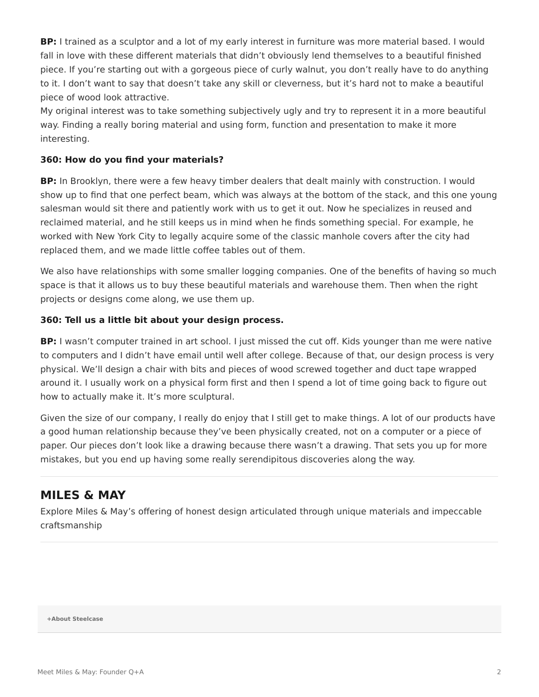**BP:** I trained as a sculptor and a lot of my early interest in furniture was more material based. I would fall in love with these different materials that didn't obviously lend themselves to a beautiful finished piece. If you're starting out with a gorgeous piece of curly walnut, you don't really have to do anything to it. I don't want to say that doesn't take any skill or cleverness, but it's hard not to make a beautiful piece of wood look attractive.

My original interest was to take something subjectively ugly and try to represent it in a more beautiful way. Finding a really boring material and using form, function and presentation to make it more interesting.

#### **360: How do you find your materials?**

**BP:** In Brooklyn, there were a few heavy timber dealers that dealt mainly with construction. I would show up to find that one perfect beam, which was always at the bottom of the stack, and this one young salesman would sit there and patiently work with us to get it out. Now he specializes in reused and reclaimed material, and he still keeps us in mind when he finds something special. For example, he worked with New York City to legally acquire some of the classic manhole covers after the city had replaced them, and we made little coffee tables out of them.

We also have relationships with some smaller logging companies. One of the benefits of having so much space is that it allows us to buy these beautiful materials and warehouse them. Then when the right projects or designs come along, we use them up.

#### **360: Tell us a little bit about your design process.**

**BP:** I wasn't computer trained in art school. I just missed the cut off. Kids younger than me were native to computers and I didn't have email until well after college. Because of that, our design process is very physical. We'll design a chair with bits and pieces of wood screwed together and duct tape wrapped around it. I usually work on a physical form first and then I spend a lot of time going back to figure out how to actually make it. It's more sculptural.

Given the size of our company, I really do enjoy that I still get to make things. A lot of our products have a good human relationship because they've been physically created, not on a computer or a piece of paper. Our pieces don't look like a drawing because there wasn't a drawing. That sets you up for more mistakes, but you end up having some really serendipitous discoveries along the way.

## **MILES & MAY**

Explore Miles & May's offering of honest design articulated through unique materials and impeccable craftsmanship

**[+About Steelcase](https://www.steelcase.com/discover/steelcase/our-company/)**